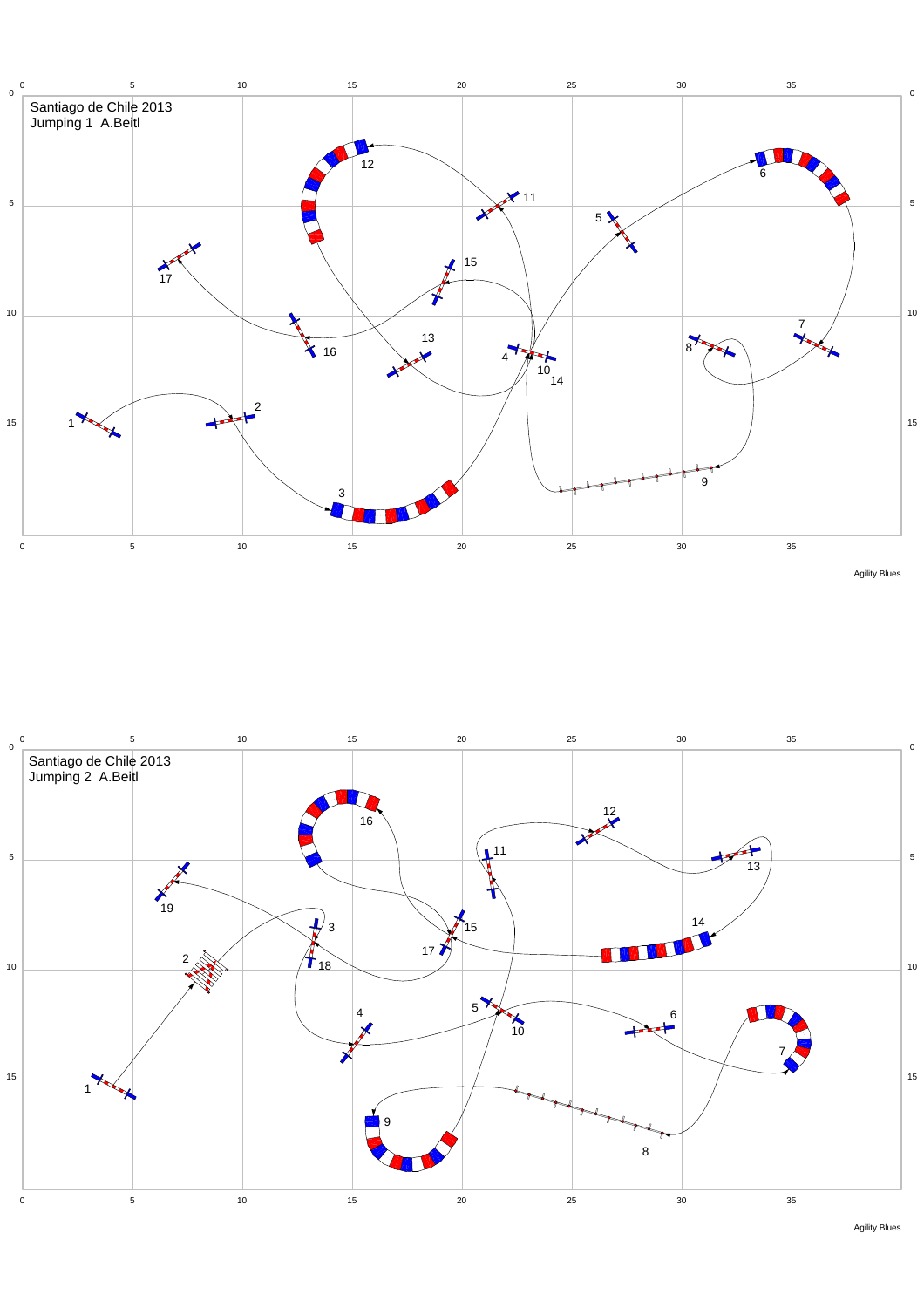





Agility Blues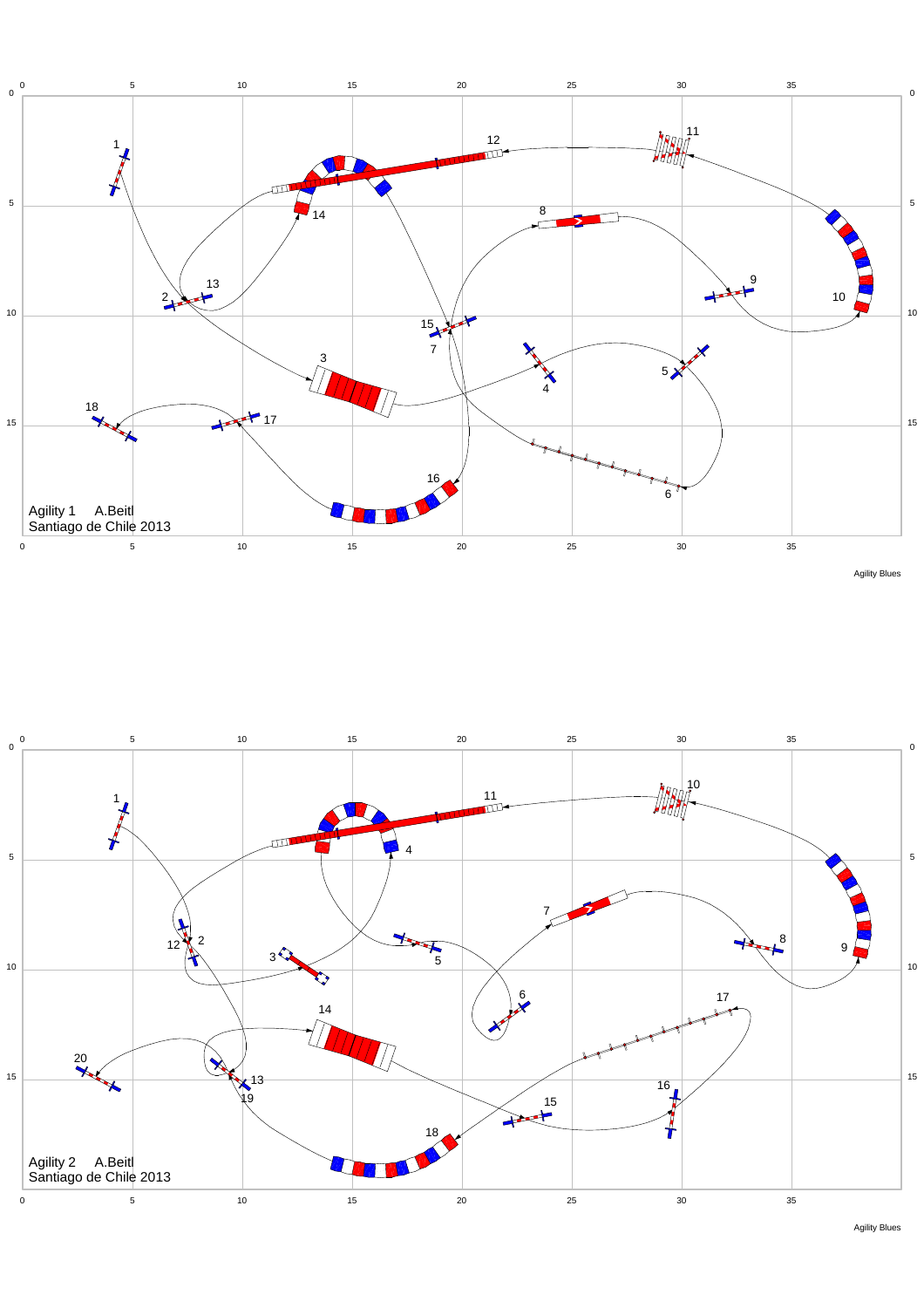



Agility Blues